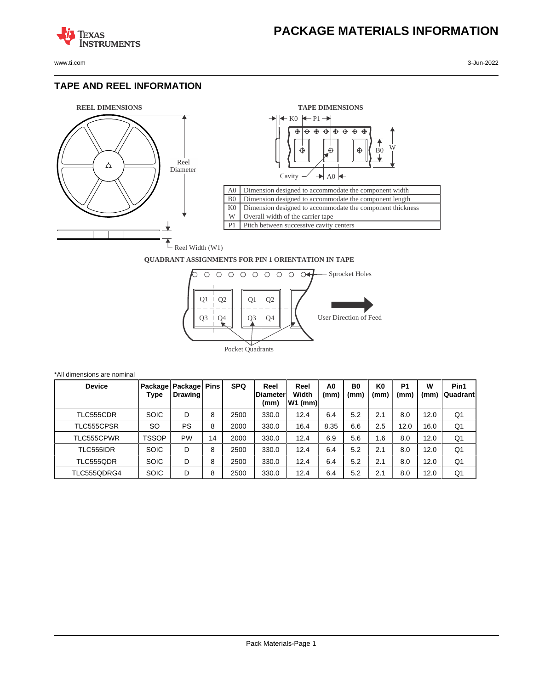

**TEXAS** 

#### **TAPE AND REEL INFORMATION**

**STRUMENTS** 





#### **QUADRANT ASSIGNMENTS FOR PIN 1 ORIENTATION IN TAPE**



| *All dimensions are nominal |              |                                     |    |            |                                  |                            |                        |                        |                        |                        |           |                   |
|-----------------------------|--------------|-------------------------------------|----|------------|----------------------------------|----------------------------|------------------------|------------------------|------------------------|------------------------|-----------|-------------------|
| <b>Device</b>               | Type         | Package   Package   Pins<br>Drawing |    | <b>SPQ</b> | Reel<br><b>IDiameter</b><br>(mm) | Reel<br>Width<br>$W1$ (mm) | A <sub>0</sub><br>(mm) | B <sub>0</sub><br>(mm) | K <sub>0</sub><br>(mm) | P <sub>1</sub><br>(mm) | W<br>(mm) | Pin1<br> Quadrant |
| TLC555CDR                   | <b>SOIC</b>  | D                                   | 8  | 2500       | 330.0                            | 12.4                       | 6.4                    | 5.2                    | 2.1                    | 8.0                    | 12.0      | Q1                |
| TLC555CPSR                  | SO.          | <b>PS</b>                           | 8  | 2000       | 330.0                            | 16.4                       | 8.35                   | 6.6                    | 2.5                    | 12.0                   | 16.0      | Q <sub>1</sub>    |
| TLC555CPWR                  | <b>TSSOP</b> | PW                                  | 14 | 2000       | 330.0                            | 12.4                       | 6.9                    | 5.6                    | 1.6                    | 8.0                    | 12.0      | Q <sub>1</sub>    |
| TLC555IDR                   | <b>SOIC</b>  | D                                   | 8  | 2500       | 330.0                            | 12.4                       | 6.4                    | 5.2                    | 2.1                    | 8.0                    | 12.0      | Q1                |
| TLC555QDR                   | <b>SOIC</b>  | D                                   | 8  | 2500       | 330.0                            | 12.4                       | 6.4                    | 5.2                    | 2.1                    | 8.0                    | 12.0      | Q1                |
| TLC555QDRG4                 | <b>SOIC</b>  | D                                   | 8  | 2500       | 330.0                            | 12.4                       | 6.4                    | 5.2                    | 2.1                    | 8.0                    | 12.0      | Q1                |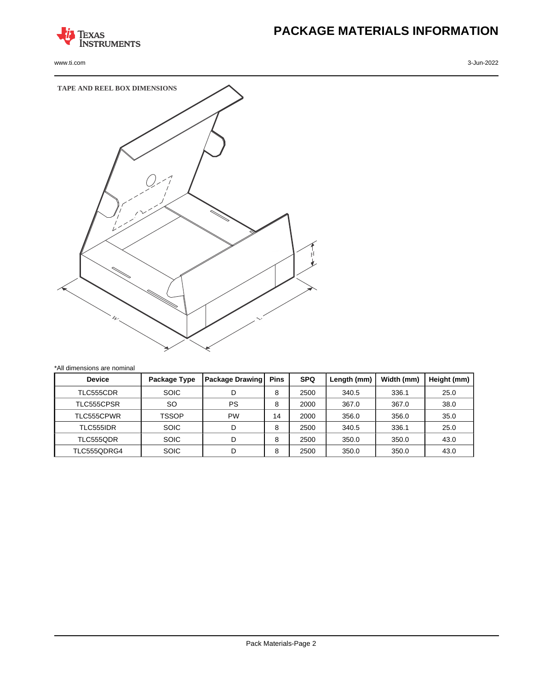

www.ti.com 3-Jun-2022

# **PACKAGE MATERIALS INFORMATION**



| <b>Device</b> | Package Type | Package Drawing | <b>Pins</b> | <b>SPQ</b> | Length (mm) | Width (mm) | Height (mm) |
|---------------|--------------|-----------------|-------------|------------|-------------|------------|-------------|
| TLC555CDR     | <b>SOIC</b>  | D               | 8           | 2500       | 340.5       | 336.1      | 25.0        |
| TLC555CPSR    | SO           | <b>PS</b>       | 8           | 2000       | 367.0       | 367.0      | 38.0        |
| TLC555CPWR    | TSSOP        | <b>PW</b>       | 14          | 2000       | 356.0       | 356.0      | 35.0        |
| TLC555IDR     | <b>SOIC</b>  | D               | 8           | 2500       | 340.5       | 336.1      | 25.0        |
| TLC555QDR     | <b>SOIC</b>  | D               | 8           | 2500       | 350.0       | 350.0      | 43.0        |
| TLC555QDRG4   | <b>SOIC</b>  | D               | 8           | 2500       | 350.0       | 350.0      | 43.0        |